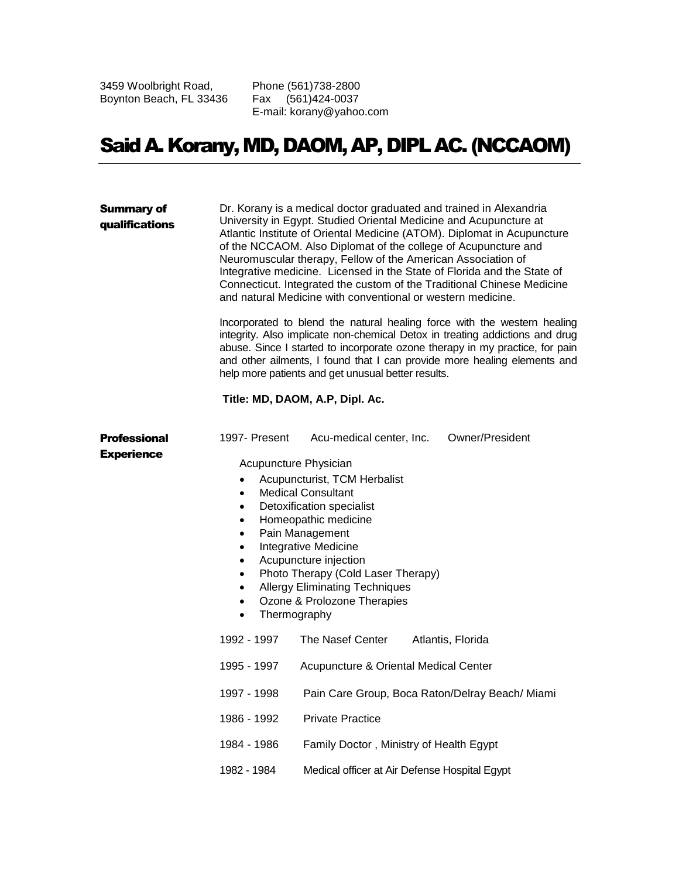3459 Woolbright Road, Boynton Beach, FL 33436 Phone (561)738-2800 Fax (561)424-0037 E-mail: korany@yahoo.com

## Said A. Korany, MD, DAOM, AP, DIPL AC. (NCCAOM)

| <b>Summary of</b><br>qualifications | Dr. Korany is a medical doctor graduated and trained in Alexandria<br>University in Egypt. Studied Oriental Medicine and Acupuncture at<br>Atlantic Institute of Oriental Medicine (ATOM). Diplomat in Acupuncture<br>of the NCCAOM. Also Diplomat of the college of Acupuncture and<br>Neuromuscular therapy, Fellow of the American Association of<br>Integrative medicine. Licensed in the State of Florida and the State of<br>Connecticut. Integrated the custom of the Traditional Chinese Medicine<br>and natural Medicine with conventional or western medicine.<br>Incorporated to blend the natural healing force with the western healing<br>integrity. Also implicate non-chemical Detox in treating addictions and drug<br>abuse. Since I started to incorporate ozone therapy in my practice, for pain<br>and other ailments, I found that I can provide more healing elements and<br>help more patients and get unusual better results.<br>Title: MD, DAOM, A.P, Dipl. Ac. |                                                 |  |
|-------------------------------------|-------------------------------------------------------------------------------------------------------------------------------------------------------------------------------------------------------------------------------------------------------------------------------------------------------------------------------------------------------------------------------------------------------------------------------------------------------------------------------------------------------------------------------------------------------------------------------------------------------------------------------------------------------------------------------------------------------------------------------------------------------------------------------------------------------------------------------------------------------------------------------------------------------------------------------------------------------------------------------------------|-------------------------------------------------|--|
|                                     |                                                                                                                                                                                                                                                                                                                                                                                                                                                                                                                                                                                                                                                                                                                                                                                                                                                                                                                                                                                           |                                                 |  |
|                                     |                                                                                                                                                                                                                                                                                                                                                                                                                                                                                                                                                                                                                                                                                                                                                                                                                                                                                                                                                                                           |                                                 |  |
|                                     | 1992 - 1997                                                                                                                                                                                                                                                                                                                                                                                                                                                                                                                                                                                                                                                                                                                                                                                                                                                                                                                                                                               | The Nasef Center<br>Atlantis, Florida           |  |
|                                     | 1995 - 1997                                                                                                                                                                                                                                                                                                                                                                                                                                                                                                                                                                                                                                                                                                                                                                                                                                                                                                                                                                               | Acupuncture & Oriental Medical Center           |  |
|                                     | 1997 - 1998                                                                                                                                                                                                                                                                                                                                                                                                                                                                                                                                                                                                                                                                                                                                                                                                                                                                                                                                                                               | Pain Care Group, Boca Raton/Delray Beach/ Miami |  |
|                                     | 1986 - 1992                                                                                                                                                                                                                                                                                                                                                                                                                                                                                                                                                                                                                                                                                                                                                                                                                                                                                                                                                                               | <b>Private Practice</b>                         |  |
|                                     | 1984 - 1986                                                                                                                                                                                                                                                                                                                                                                                                                                                                                                                                                                                                                                                                                                                                                                                                                                                                                                                                                                               | Family Doctor, Ministry of Health Egypt         |  |
|                                     | 1982 - 1984                                                                                                                                                                                                                                                                                                                                                                                                                                                                                                                                                                                                                                                                                                                                                                                                                                                                                                                                                                               | Medical officer at Air Defense Hospital Egypt   |  |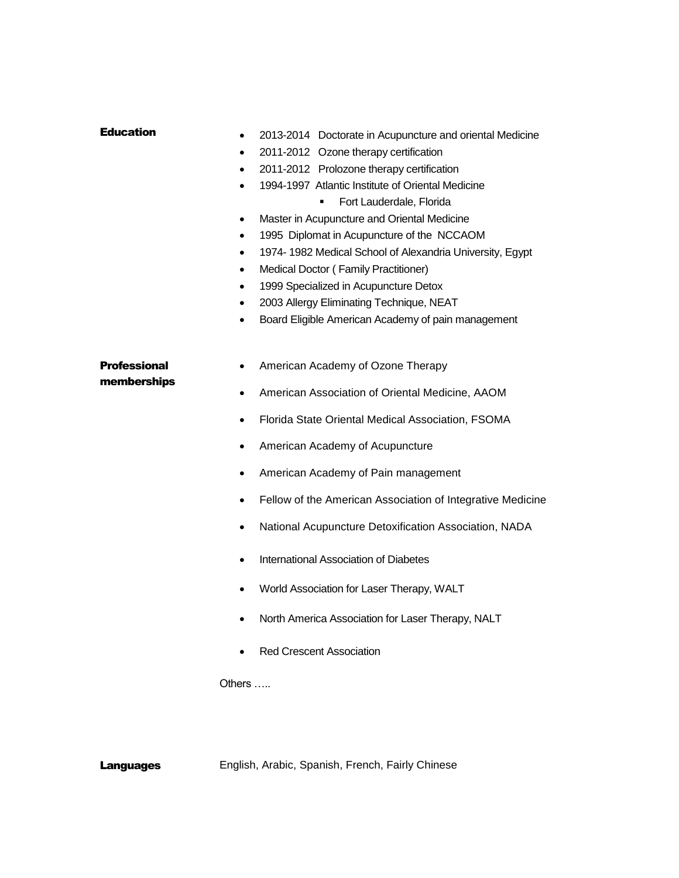| <b>Education</b>                   | 2013-2014 Doctorate in Acupuncture and oriental Medicine<br>$\bullet$<br>2011-2012 Ozone therapy certification<br>$\bullet$<br>2011-2012 Prolozone therapy certification<br>$\bullet$<br>1994-1997 Atlantic Institute of Oriental Medicine<br>$\bullet$<br>Fort Lauderdale, Florida<br>Master in Acupuncture and Oriental Medicine<br>$\bullet$<br>1995 Diplomat in Acupuncture of the NCCAOM<br>$\bullet$<br>1974-1982 Medical School of Alexandria University, Egypt<br>$\bullet$<br>Medical Doctor (Family Practitioner)<br>$\bullet$<br>1999 Specialized in Acupuncture Detox<br>$\bullet$<br>2003 Allergy Eliminating Technique, NEAT<br>$\bullet$<br>Board Eligible American Academy of pain management<br>$\bullet$ |
|------------------------------------|----------------------------------------------------------------------------------------------------------------------------------------------------------------------------------------------------------------------------------------------------------------------------------------------------------------------------------------------------------------------------------------------------------------------------------------------------------------------------------------------------------------------------------------------------------------------------------------------------------------------------------------------------------------------------------------------------------------------------|
| <b>Professional</b><br>memberships | American Academy of Ozone Therapy<br>$\bullet$<br>American Association of Oriental Medicine, AAOM<br>$\bullet$<br>Florida State Oriental Medical Association, FSOMA<br>$\bullet$<br>American Academy of Acupuncture<br>$\bullet$<br>American Academy of Pain management<br>٠<br>Fellow of the American Association of Integrative Medicine<br>$\bullet$<br>National Acupuncture Detoxification Association, NADA<br>٠<br>International Association of Diabetes<br>٠<br>World Association for Laser Therapy, WALT<br>North America Association for Laser Therapy, NALT<br><b>Red Crescent Association</b><br>Others                                                                                                         |

Languages English, Arabic, Spanish, French, Fairly Chinese